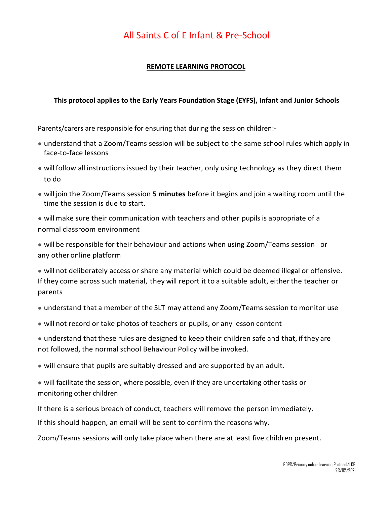# All Saints C of E Infant & Pre-School

## **REMOTE LEARNING PROTOCOL**

### **This protocol applies to the Early Years Foundation Stage (EYFS), Infant and Junior Schools**

Parents/carers are responsible for ensuring that during the session children:-

- understand that a Zoom/Teams session will be subject to the same school rules which apply in face-to-face lessons
- will follow all instructions issued by their teacher, only using technology as they direct them to do
- will join the Zoom/Teams session **5 minutes** before it begins and join a waiting room until the time the session is due to start.

● will make sure their communication with teachers and other pupils is appropriate of a normal classroom environment

● will be responsible for their behaviour and actions when using Zoom/Teams session or any otheronline platform

● will not deliberately access or share any material which could be deemed illegal or offensive. If they come across such material, they will report it to a suitable adult, eitherthe teacher or parents

- understand that a member of the SLT may attend any Zoom/Teams session to monitor use
- will not record or take photos of teachers or pupils, or any lesson content
- understand that these rules are designed to keep their children safe and that, if they are not followed, the normal school Behaviour Policy will be invoked.
- will ensure that pupils are suitably dressed and are supported by an adult.
- will facilitate the session, where possible, even if they are undertaking other tasks or monitoring other children

If there is a serious breach of conduct, teachers will remove the person immediately.

If this should happen, an email will be sent to confirm the reasons why.

Zoom/Teams sessions will only take place when there are at least five children present.